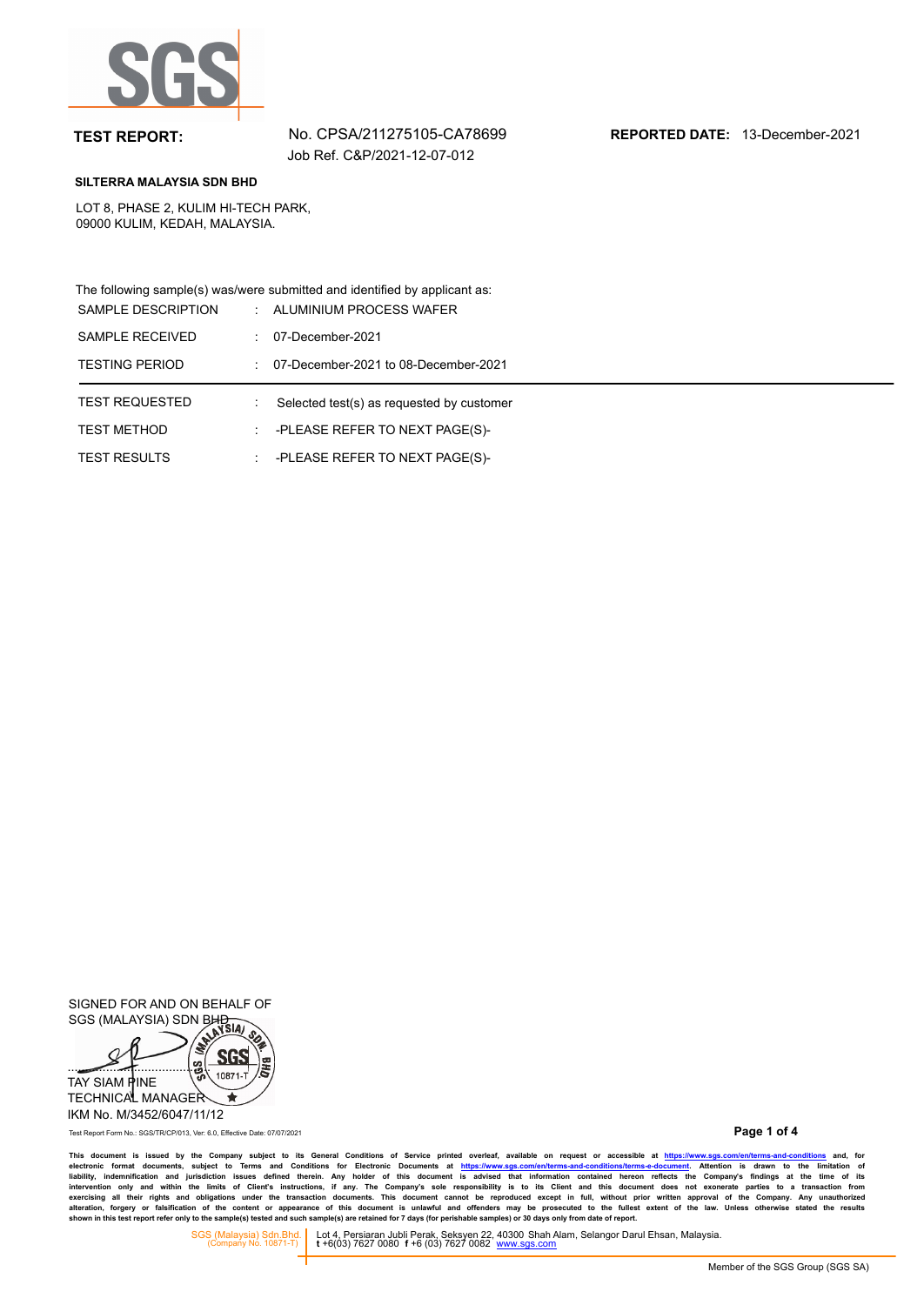

**TEST REPORT:** No. CPSA/211275105-CA78699 **REPORTED DATE:** 13-December-2021

### **SILTERRA MALAYSIA SDN BHD**

LOT 8, PHASE 2, KULIM HI-TECH PARK, 09000 KULIM, KEDAH, MALAYSIA.

The following sample(s) was/were submitted and identified by applicant as:

| SAMPLE DESCRIPTION    | ÷ | ALUMINIUM PROCESS WAFER                   |
|-----------------------|---|-------------------------------------------|
| SAMPLE RECEIVED       |   | 07-December-2021                          |
| <b>TESTING PERIOD</b> |   | 07-December-2021 to 08-December-2021      |
|                       |   |                                           |
| <b>TEST REQUESTED</b> |   | Selected test(s) as requested by customer |
| <b>TEST METHOD</b>    |   | -PLEASE REFER TO NEXT PAGE(S)-            |

SIGNED FOR AND ON BEHALF OF SIGNED I ON THE SIGNED IS ON BHD



IKM No. M/3452/6047/11/12

Test Report Form No.: SGS/TR/CP/013, Ver: 6.0, Effective Date: 07/07/2021

**Page 1 of 4**

This document is issued by the Company subject to its General Conditions of Service printed overleaf, available on request or accessible at https://www.sgs.com/en/terms-and-conditions and, for<br>electronic format documents,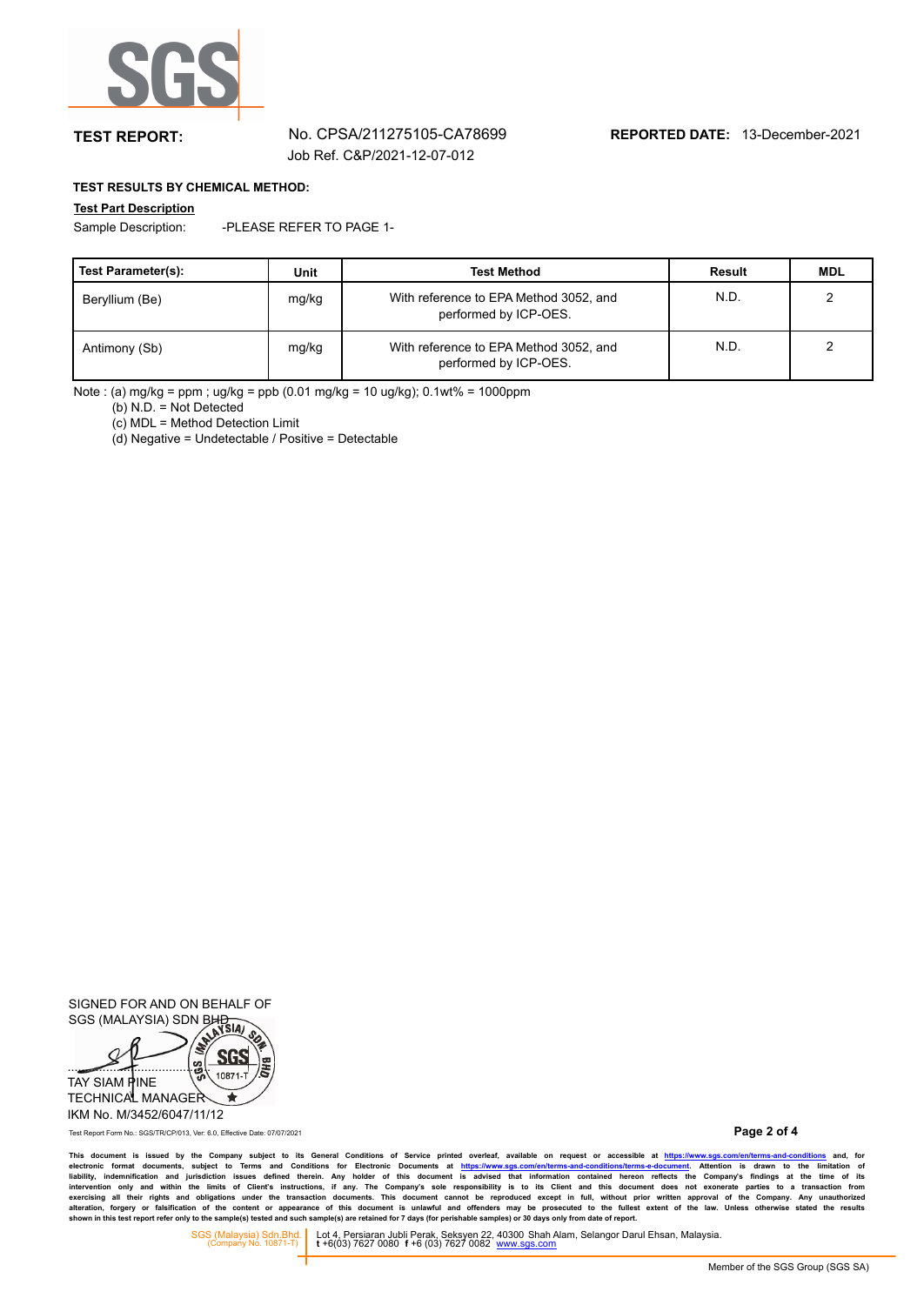

## **TEST REPORT:** No. CPSA/211275105-CA78699 **REPORTED DATE:** 13-December-2021

## **TEST RESULTS BY CHEMICAL METHOD:**

### **Test Part Description**

Sample Description: -PLEASE REFER TO PAGE 1-

| Test Parameter(s): | Unit  | <b>Test Method</b>                                              | Result | <b>MDL</b> |
|--------------------|-------|-----------------------------------------------------------------|--------|------------|
| Beryllium (Be)     | mg/kg | With reference to EPA Method 3052, and<br>performed by ICP-OES. | N.D.   |            |
| Antimony (Sb)      | mg/kg | With reference to EPA Method 3052, and<br>performed by ICP-OES. | N.D.   |            |

Note : (a) mg/kg = ppm ; ug/kg = ppb (0.01 mg/kg = 10 ug/kg); 0.1wt% = 1000ppm

(b) N.D. = Not Detected

(c) MDL = Method Detection Limit

(d) Negative = Undetectable / Positive = Detectable

SIGNED FOR AND ON BEHALF OF SIGNED I ON THE SIGNED IS ON BHD



IKM No. M/3452/6047/11/12

Test Report Form No.: SGS/TR/CP/013, Ver: 6.0, Effective Date: 07/07/2021

**Page 2 of 4**

This document is issued by the Company subject to its General Conditions of Service printed overleaf, available on request or accessible at https://www.sgs.com/en/terms-and-conditions and, for<br>electronic format documents,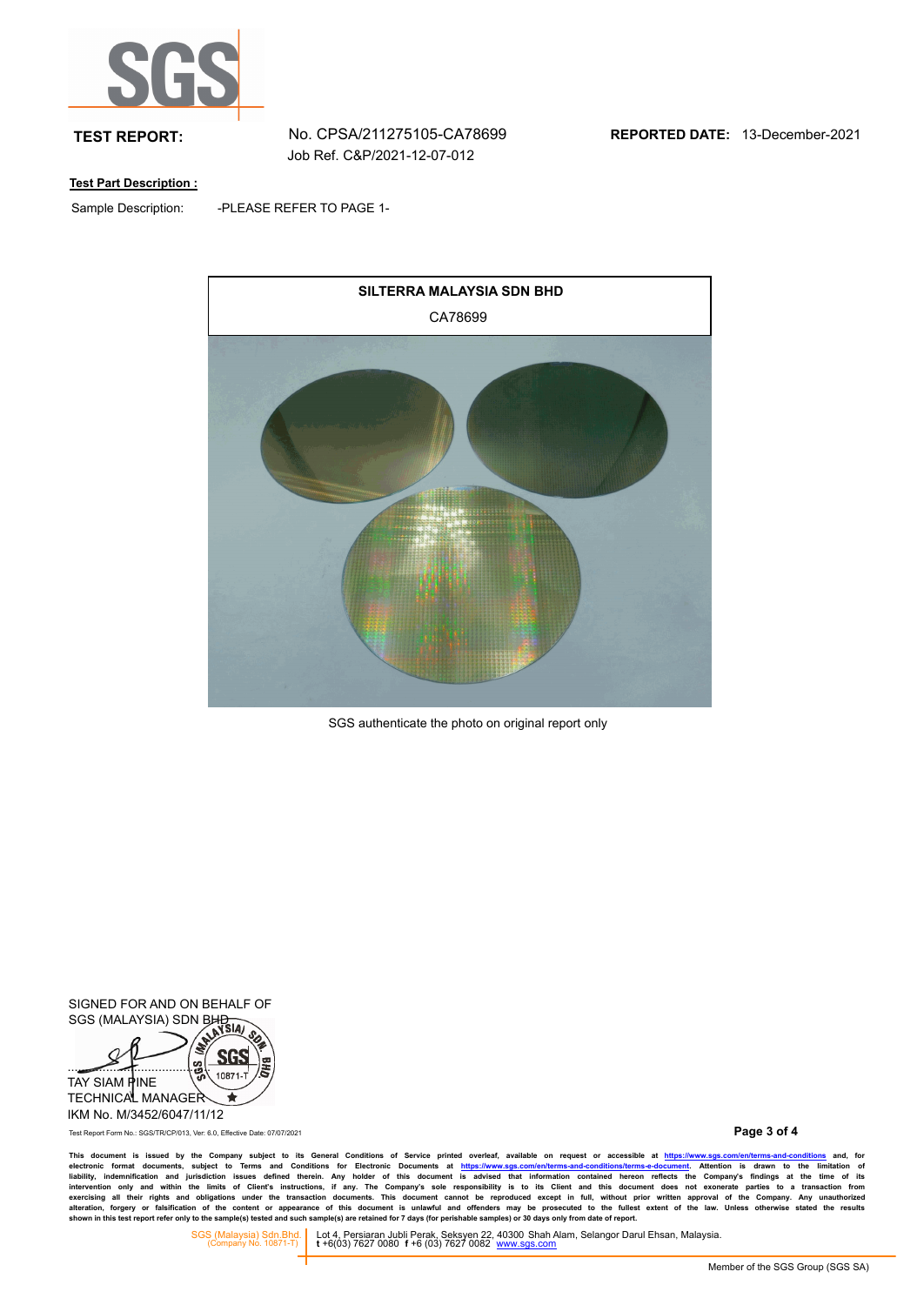

**TEST REPORT:** No. CPSA/211275105-CA78699 **REPORTED DATE:** 13-December-2021

## **Test Part Description :**

Sample Description:

-PLEASE REFER TO PAGE 1-



SGS authenticate the photo on original report only

SIGNED FOR AND ON BEHALF OF SIGNED I ON THE STORE BHD



IKM No. M/3452/6047/11/12

Test Report Form No.: SGS/TR/CP/013, Ver: 6.0, Effective Date: 07/07/2021

**Page 3 of 4**

This document is issued by the Company subject to its General Conditions of Service printed overleaf, available on request or accessible at https://www.sgs.com/en/terms-and-conditions and, for<br>electronic format documents,